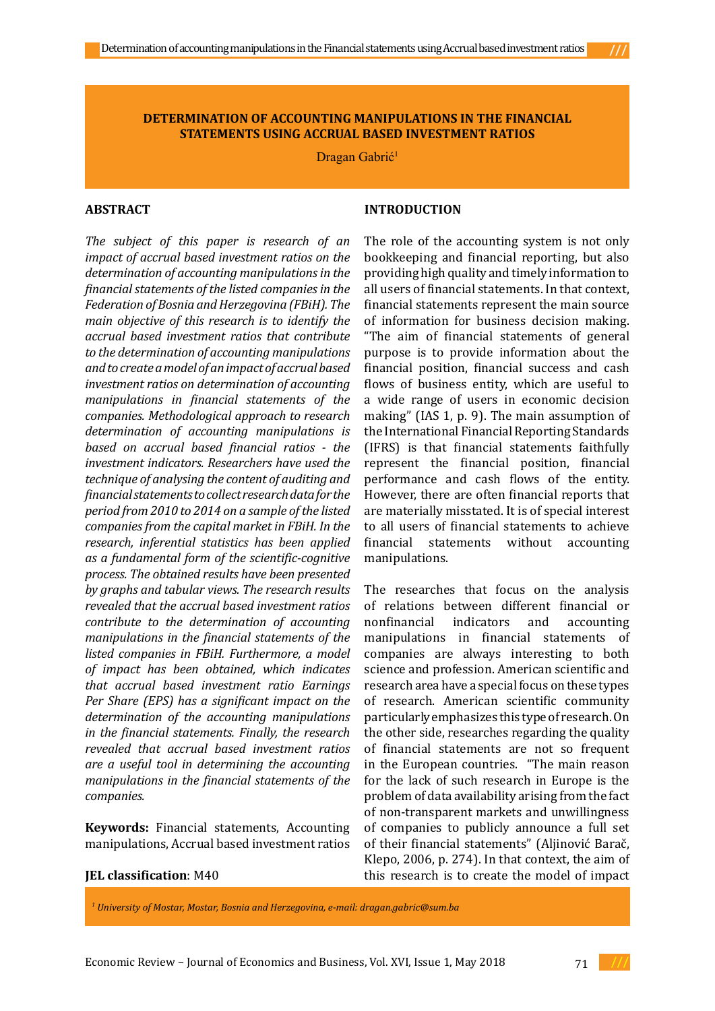#### **DETERMINATION OF ACCOUNTING MANIPULATIONS IN THE FINANCIAL STATEMENTS USING ACCRUAL BASED INVESTMENT RATIOS**

Dragan Gabrić<sup>1</sup>

#### **ABSTRACT**

*The subject of this paper is research of an impact of accrual based investment ratios on the determination of accounting manipulations in the financial statements of the listed companies in the Federation of Bosnia and Herzegovina (FBiH). The main objective of this research is to identify the accrual based investment ratios that contribute to the determination of accounting manipulations and to create a model of an impact of accrual based investment ratios on determination of accounting manipulations in financial statements of the companies. Methodological approach to research determination of accounting manipulations is based on accrual based financial ratios - the investment indicators. Researchers have used the technique of analysing the content of auditing and financial statements to collect research data for the period from 2010 to 2014 on a sample of the listed companies from the capital market in FBiH. In the research, inferential statistics has been applied as a fundamental form of the scientific-cognitive process. The obtained results have been presented by graphs and tabular views. The research results revealed that the accrual based investment ratios contribute to the determination of accounting manipulations in the financial statements of the listed companies in FBiH. Furthermore, a model of impact has been obtained, which indicates that accrual based investment ratio Earnings Per Share (EPS) has a significant impact on the determination of the accounting manipulations in the financial statements. Finally, the research revealed that accrual based investment ratios are a useful tool in determining the accounting manipulations in the financial statements of the companies.*

**Keywords:** Financial statements, Accounting manipulations, Accrual based investment ratios

### **INTRODUCTION**

The role of the accounting system is not only bookkeeping and financial reporting, but also providing high quality and timely information to all users of financial statements. In that context, financial statements represent the main source of information for business decision making. "The aim of financial statements of general purpose is to provide information about the financial position, financial success and cash flows of business entity, which are useful to a wide range of users in economic decision making" (IAS 1, p. 9). The main assumption of the International Financial Reporting Standards (IFRS) is that financial statements faithfully represent the financial position, financial performance and cash flows of the entity. However, there are often financial reports that are materially misstated. It is of special interest to all users of financial statements to achieve<br>financial statements without accounting statements without accounting manipulations.

The researches that focus on the analysis of relations between different financial or<br>nonfinancial indicators and accounting nonfinancial manipulations in financial statements of companies are always interesting to both science and profession. American scientific and research area have a special focus on these types of research. American scientific community particularly emphasizes this type of research. On the other side, researches regarding the quality of financial statements are not so frequent in the European countries. "The main reason for the lack of such research in Europe is the problem of data availability arising from the fact of non-transparent markets and unwillingness of companies to publicly announce a full set of their financial statements" (Aljinović Barač, Klepo, 2006, p. 274). In that context, the aim of this research is to create the model of impact

#### **JEL classification**: M40

<sup>1</sup> University of Mostar, Mostar, Bosnia and Herzegovina, e-mail: [dragan.gabric@sum.ba](mailto:dragan.gabric@sum.ba)

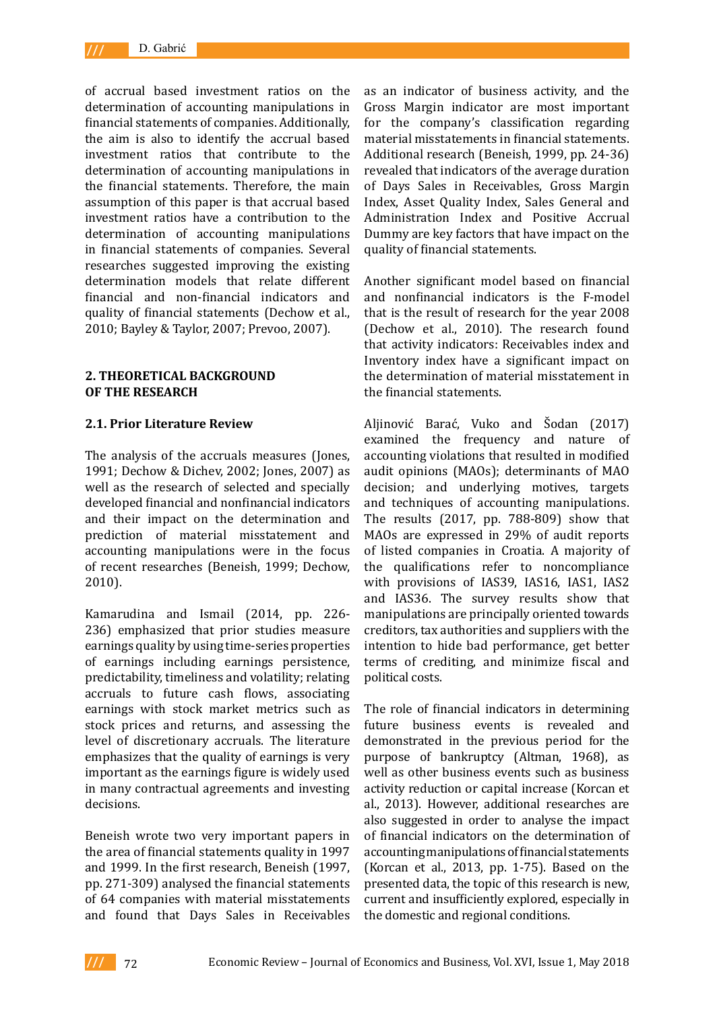of accrual based investment ratios on the determination of accounting manipulations in financial statements of companies. Additionally, the aim is also to identify the accrual based investment ratios that contribute to the determination of accounting manipulations in the financial statements. Therefore, the main assumption of this paper is that accrual based investment ratios have a contribution to the determination of accounting manipulations in financial statements of companies. Several researches suggested improving the existing determination models that relate different financial and non-financial indicators and quality of financial statements (Dechow et al., 2010; Bayley & Taylor, 2007; Prevoo, 2007).

## **2. THEORETICAL BACKGROUND OF THE RESEARCH**

## **2.1. Prior Literature Review**

The analysis of the accruals measures (Jones, 1991; Dechow & Dichev, 2002; Jones, 2007) as well as the research of selected and specially developed financial and nonfinancial indicators and their impact on the determination and prediction of material misstatement and accounting manipulations were in the focus of recent researches (Beneish, 1999; Dechow, 2010).

Kamarudina and Ismail (2014, pp. 226- 236) emphasized that prior studies measure earnings quality by using time-series properties of earnings including earnings persistence, predictability, timeliness and volatility; relating accruals to future cash flows, associating earnings with stock market metrics such as stock prices and returns, and assessing the level of discretionary accruals. The literature emphasizes that the quality of earnings is very important as the earnings figure is widely used in many contractual agreements and investing decisions.

Beneish wrote two very important papers in the area of financial statements quality in 1997 and 1999. In the first research, Beneish (1997, pp. 271-309) analysed the financial statements of 64 companies with material misstatements and found that Days Sales in Receivables

as an indicator of business activity, and the Gross Margin indicator are most important for the company's classification regarding material misstatements in financial statements. Additional research (Beneish, 1999, pp. 24-36) revealed that indicators of the average duration of Days Sales in Receivables, Gross Margin Index, Asset Quality Index, Sales General and Administration Index and Positive Accrual Dummy are key factors that have impact on the quality of financial statements.

Another significant model based on financial and nonfinancial indicators is the F-model that is the result of research for the year 2008 (Dechow et al., 2010). The research found that activity indicators: Receivables index and Inventory index have a significant impact on the determination of material misstatement in the financial statements.

Aljinović Barać, Vuko and Šodan (2017) examined the frequency and nature of accounting violations that resulted in modified audit opinions (MAOs); determinants of MAO decision; and underlying motives, targets and techniques of accounting manipulations. The results (2017, pp. 788-809) show that MAOs are expressed in 29% of audit reports of listed companies in Croatia. A majority of the qualifications refer to noncompliance with provisions of IAS39, IAS16, IAS1, IAS2 and IAS36. The survey results show that manipulations are principally oriented towards creditors, tax authorities and suppliers with the intention to hide bad performance, get better terms of crediting, and minimize fiscal and political costs.

The role of financial indicators in determining future business events is revealed and demonstrated in the previous period for the purpose of bankruptcy (Altman, 1968), as well as other business events such as business activity reduction or capital increase (Korcan et al., 2013). However, additional researches are also suggested in order to analyse the impact of financial indicators on the determination of accounting manipulations of financial statements (Korcan et al., 2013, pp. 1-75). Based on the presented data, the topic of this research is new, current and insufficiently explored, especially in the domestic and regional conditions.

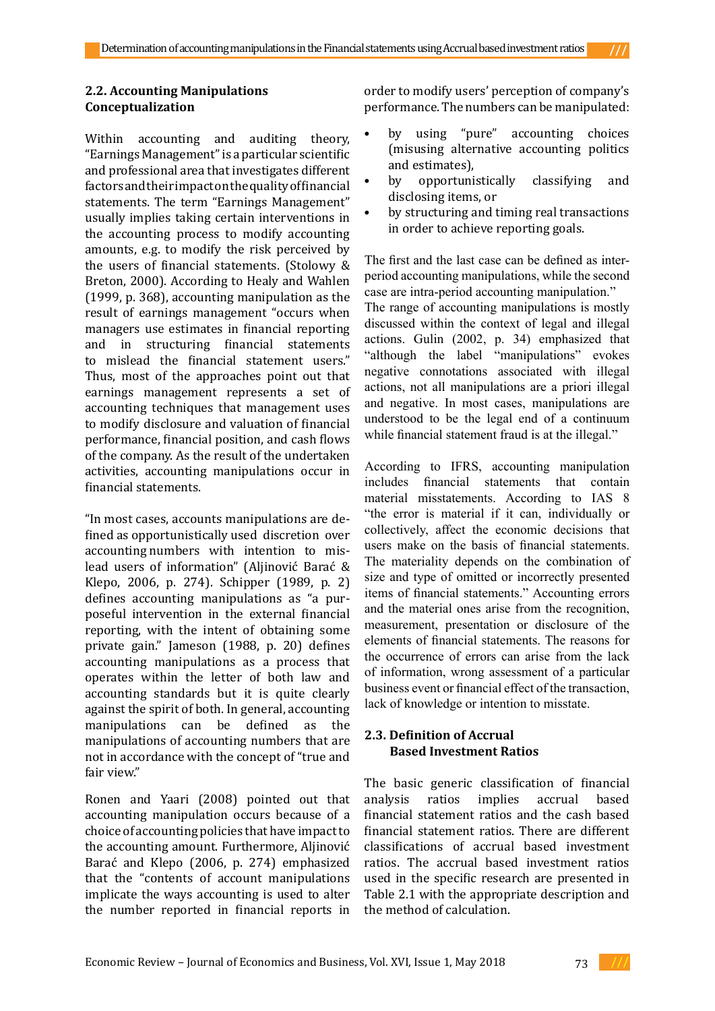# **2.2. Accounting Manipulations Conceptualization**

Within accounting and auditing theory, "Earnings Management" is a particular scientific and professional area that investigates different factors and their impact on the quality of financial statements. The term "Earnings Management" usually implies taking certain interventions in the accounting process to modify accounting amounts, e.g. to modify the risk perceived by the users of financial statements. (Stolowy & Breton, 2000). According to Healy and Wahlen (1999, p. 368), accounting manipulation as the result of earnings management "occurs when managers use estimates in financial reporting and in structuring financial statements to mislead the financial statement users." Thus, most of the approaches point out that earnings management represents a set of accounting techniques that management uses to modify disclosure and valuation of financial performance, financial position, and cash flows of the company. As the result of the undertaken activities, accounting manipulations occur in financial statements.

"In most cases, accounts manipulations are defined as opportunistically used discretion over accounting numbers with intention to mislead users of information" (Aljinović Barać & Klepo, 2006, p. 274). Schipper (1989, p. 2) defines accounting manipulations as "a purposeful intervention in the external financial reporting, with the intent of obtaining some private gain." Jameson (1988, p. 20) defines accounting manipulations as a process that operates within the letter of both law and accounting standards but it is quite clearly against the spirit of both. In general, accounting manipulations can be defined as the manipulations of accounting numbers that are not in accordance with the concept of "true and fair view."

Ronen and Yaari (2008) pointed out that accounting manipulation occurs because of a choice of accounting policies that have impact to the accounting amount. Furthermore, Aljinović Barać and Klepo (2006, p. 274) emphasized that the "contents of account manipulations implicate the ways accounting is used to alter the number reported in financial reports in

order to modify users' perception of company's performance. The numbers can be manipulated:

- by using "pure" accounting choices (misusing alternative accounting politics and estimates),
- by opportunistically classifying and disclosing items, or
- by structuring and timing real transactions in order to achieve reporting goals.

The first and the last case can be defined as interperiod accounting manipulations, while the second case are intra-period accounting manipulation." The range of accounting manipulations is mostly discussed within the context of legal and illegal actions. Gulin (2002, p. 34) emphasized that "although the label "manipulations" evokes negative connotations associated with illegal actions, not all manipulations are a priori illegal and negative. In most cases, manipulations are understood to be the legal end of a continuum while financial statement fraud is at the illegal."

According to IFRS, accounting manipulation includes financial statements that contain material misstatements. According to IAS 8 "the error is material if it can, individually or collectively, affect the economic decisions that users make on the basis of financial statements. The materiality depends on the combination of size and type of omitted or incorrectly presented items of financial statements." Accounting errors and the material ones arise from the recognition, measurement, presentation or disclosure of the elements of financial statements. The reasons for the occurrence of errors can arise from the lack of information, wrong assessment of a particular business event or financial effect of the transaction, lack of knowledge or intention to misstate.

# **2.3. Definition of Accrual Based Investment Ratios**

The basic generic classification of financial<br>analysis ratios implies accrual based ratios implies accrual financial statement ratios and the cash based financial statement ratios. There are different classifications of accrual based investment ratios. The accrual based investment ratios used in the specific research are presented in Table 2.1 with the appropriate description and the method of calculation.

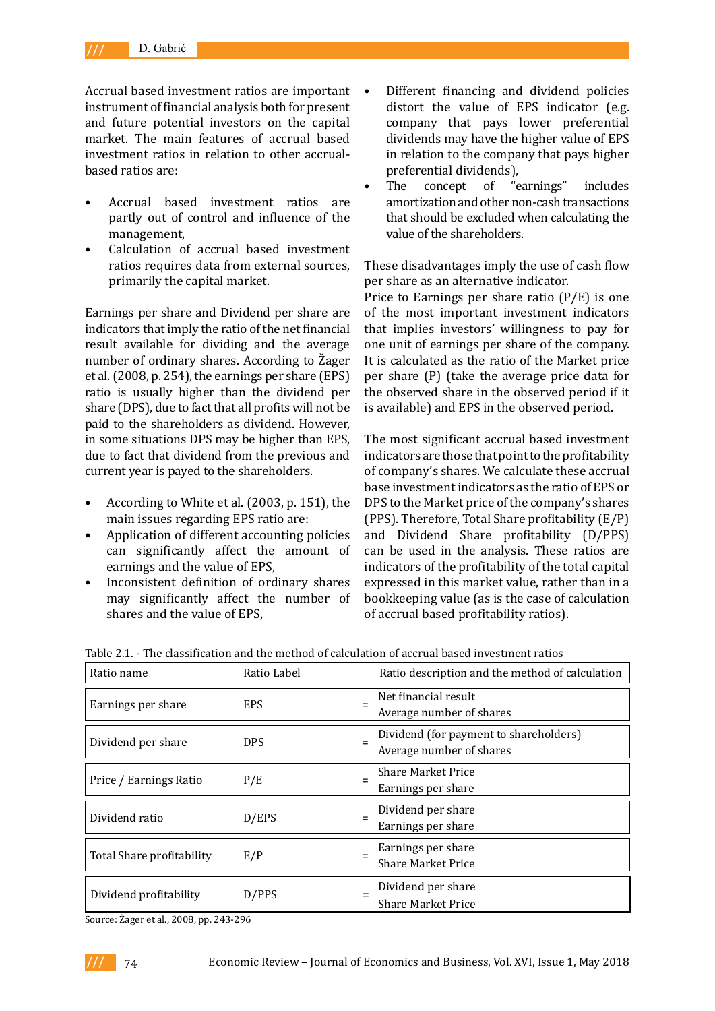Accrual based investment ratios are important instrument of financial analysis both for present and future potential investors on the capital market. The main features of accrual based investment ratios in relation to other accrualbased ratios are:

- Accrual based investment ratios are partly out of control and influence of the management,
- Calculation of accrual based investment ratios requires data from external sources, primarily the capital market.

Earnings per share and Dividend per share are indicators that imply the ratio of the net financial result available for dividing and the average number of ordinary shares. According to Žager et al. (2008, p. 254), the earnings per share (EPS) ratio is usually higher than the dividend per share (DPS), due to fact that all profits will not be paid to the shareholders as dividend. However, in some situations DPS may be higher than EPS, due to fact that dividend from the previous and current year is payed to the shareholders.

- According to White et al. (2003, p. 151), the main issues regarding EPS ratio are:
- Application of different accounting policies can significantly affect the amount of earnings and the value of EPS,
- Inconsistent definition of ordinary shares may significantly affect the number of shares and the value of EPS,
- Different financing and dividend policies distort the value of EPS indicator (e.g. company that pays lower preferential dividends may have the higher value of EPS in relation to the company that pays higher
- preferential dividends),<br>The concept of "earnings" The concept of "earnings" includes amortization and other non-cash transactions that should be excluded when calculating the value of the shareholders.

These disadvantages imply the use of cash flow per share as an alternative indicator.

Price to Earnings per share ratio (P/E) is one of the most important investment indicators that implies investors' willingness to pay for one unit of earnings per share of the company. It is calculated as the ratio of the Market price per share (P) (take the average price data for the observed share in the observed period if it is available) and EPS in the observed period.

The most significant accrual based investment indicators are those that point to the profitability of company's shares. We calculate these accrual base investment indicators as the ratio of EPS or DPS to the Market price of the company's shares (PPS). Therefore, Total Share profitability (E/P) and Dividend Share profitability (D/PPS) can be used in the analysis. These ratios are indicators of the profitability of the total capital expressed in this market value, rather than in a bookkeeping value (as is the case of calculation of accrual based profitability ratios).

| Ratio name                | Ratio Label       | Ratio description and the method of calculation                    |  |  |  |
|---------------------------|-------------------|--------------------------------------------------------------------|--|--|--|
| Earnings per share        | <b>EPS</b>        | Net financial result<br>Average number of shares                   |  |  |  |
| Dividend per share        | <b>DPS</b><br>$=$ | Dividend (for payment to shareholders)<br>Average number of shares |  |  |  |
| Price / Earnings Ratio    | P/E<br>$=$        | <b>Share Market Price</b><br>Earnings per share                    |  |  |  |
| Dividend ratio            | D/EPS             | Dividend per share<br>Earnings per share                           |  |  |  |
| Total Share profitability | E/P<br>$=$        | Earnings per share<br><b>Share Market Price</b>                    |  |  |  |
| Dividend profitability    | D/PPS<br>$=$      | Dividend per share<br><b>Share Market Price</b>                    |  |  |  |

Table 2.1. - The classification and the method of calculation of accrual based investment ratios

Source: Žager et al., 2008, pp. 243-296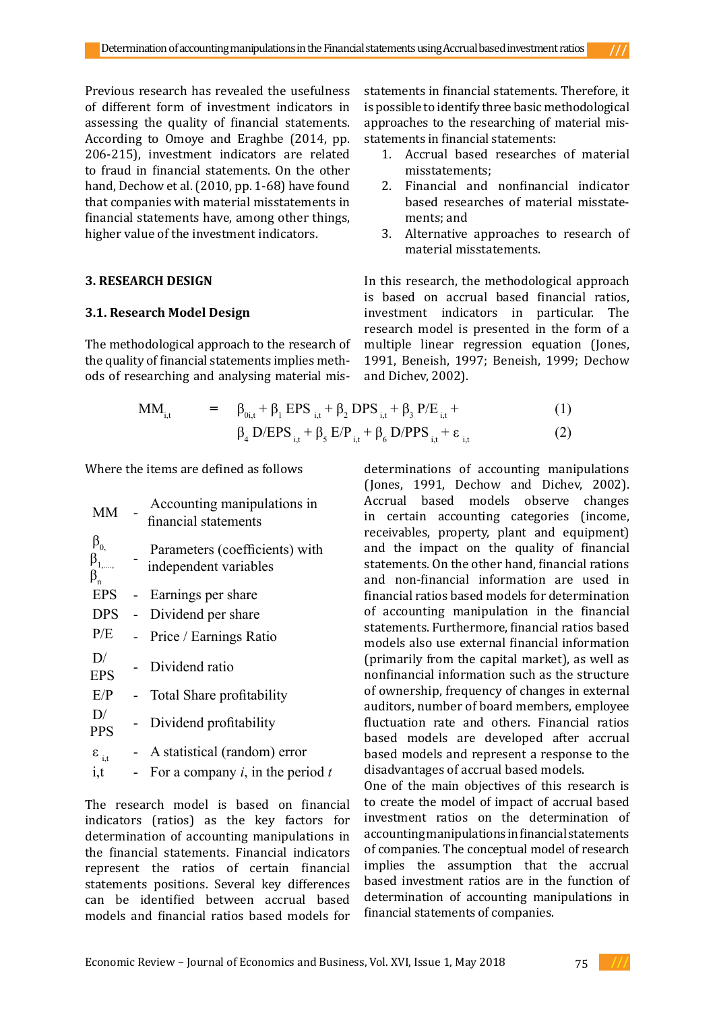Previous research has revealed the usefulness of different form of investment indicators in assessing the quality of financial statements. According to Omoye and Eraghbe (2014, pp. 206-215), investment indicators are related to fraud in financial statements. On the other hand, Dechow et al. (2010, pp. 1-68) have found that companies with material misstatements in financial statements have, among other things, higher value of the investment indicators.

#### **3. RESEARCH DESIGN**

#### **3.1. Research Model Design**

The methodological approach to the research of the quality of financial statements implies methods of researching and analysing material misstatements in financial statements. Therefore, it is possible to identify three basic methodological approaches to the researching of material misstatements in financial statements:

- 1. Accrual based researches of material misstatements;
- 2. Financial and nonfinancial indicator based researches of material misstatements; and
- 3. Alternative approaches to research of material misstatements.

In this research, the methodological approach is based on accrual based financial ratios, investment indicators in particular. The research model is presented in the form of a multiple linear regression equation (Jones, 1991, Beneish, 1997; Beneish, 1999; Dechow and Dichev, 2002).

$$
MM_{i,t} = \beta_{0i,t} + \beta_1 EPS_{i,t} + \beta_2 DPS_{i,t} + \beta_3 P/E_{i,t} + \beta_4 D/EPS_{i,t} + \beta_5 E/P_{i,t} + \beta_6 D/PPS_{i,t} + \epsilon_{i,t}
$$
 (1)

Where the items are defined as follows

| <b>MM</b>                                          | Accounting manipulations in<br>financial statements                   |
|----------------------------------------------------|-----------------------------------------------------------------------|
| $\beta_{0}$<br>$\beta_{1,\ldots,n}$<br>$\beta_{n}$ | Parameters (coefficients) with<br>independent variables               |
| <b>EPS</b>                                         | Earnings per share                                                    |
| <b>DPS</b>                                         | Dividend per share                                                    |
| P/E                                                | - Price / Earnings Ratio                                              |
| D/<br><b>EPS</b>                                   | - Dividend ratio                                                      |
| E/P                                                | Total Share profitability                                             |
| D/<br><b>PPS</b>                                   | Dividend profitability                                                |
| $\epsilon_{i,t}$<br>i,t                            | A statistical (random) error<br>For a company $i$ , in the period $t$ |

The research model is based on financial indicators (ratios) as the key factors for determination of accounting manipulations in the financial statements. Financial indicators represent the ratios of certain financial statements positions. Several key differences can be identified between accrual based models and financial ratios based models for determinations of accounting manipulations (Jones, 1991, Dechow and Dichev, 2002). Accrual based models observe changes in certain accounting categories (income, receivables, property, plant and equipment) and the impact on the quality of financial statements. On the other hand, financial rations and non-financial information are used in financial ratios based models for determination of accounting manipulation in the financial statements. Furthermore, financial ratios based models also use external financial information (primarily from the capital market), as well as nonfinancial information such as the structure of ownership, frequency of changes in external auditors, number of board members, employee fluctuation rate and others. Financial ratios based models are developed after accrual based models and represent a response to the disadvantages of accrual based models.

One of the main objectives of this research is to create the model of impact of accrual based investment ratios on the determination of accounting manipulations in financial statements of companies. The conceptual model of research implies the assumption that the accrual based investment ratios are in the function of determination of accounting manipulations in financial statements of companies.

Economic Review – Journal of Economics and Business, Vol. XVI, Issue 1, May 2018 **///**

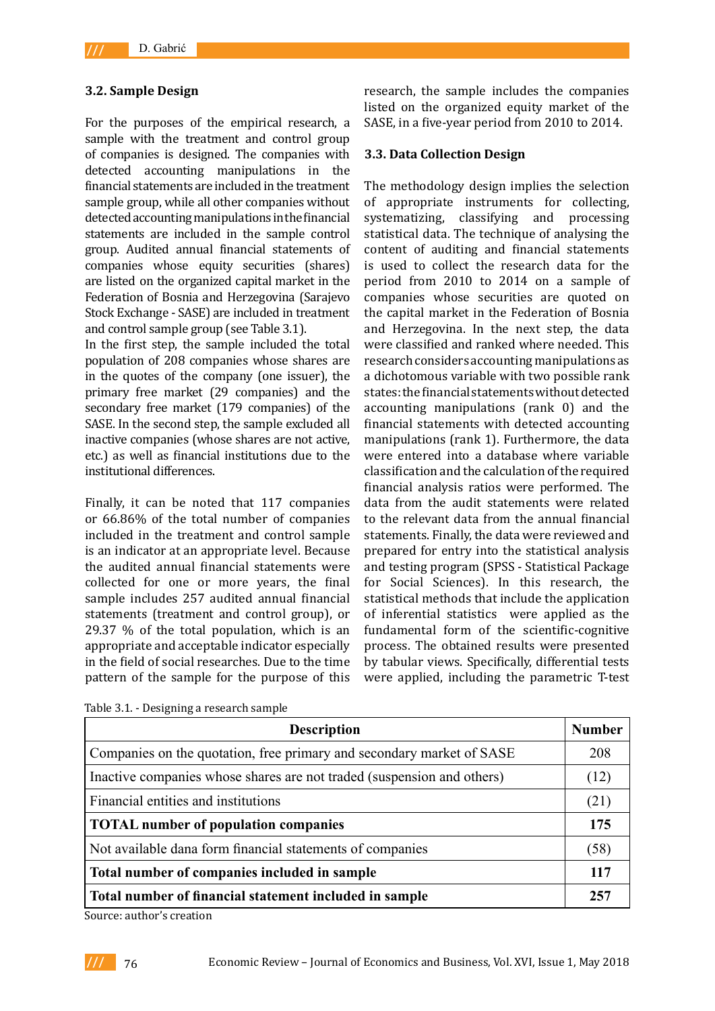#### **3.2. Sample Design**

For the purposes of the empirical research, a sample with the treatment and control group of companies is designed. The companies with detected accounting manipulations in the financial statements are included in the treatment sample group, while all other companies without detected accounting manipulations in the financial statements are included in the sample control group. Audited annual financial statements of companies whose equity securities (shares) are listed on the organized capital market in the Federation of Bosnia and Herzegovina (Sarajevo Stock Exchange - SASE) are included in treatment and control sample group (see Table 3.1).

In the first step, the sample included the total population of 208 companies whose shares are in the quotes of the company (one issuer), the primary free market (29 companies) and the secondary free market (179 companies) of the SASE. In the second step, the sample excluded all inactive companies (whose shares are not active, etc.) as well as financial institutions due to the institutional differences.

Finally, it can be noted that 117 companies or 66.86% of the total number of companies included in the treatment and control sample is an indicator at an appropriate level. Because the audited annual financial statements were collected for one or more years, the final sample includes 257 audited annual financial statements (treatment and control group), or 29.37 % of the total population, which is an appropriate and acceptable indicator especially in the field of social researches. Due to the time pattern of the sample for the purpose of this research, the sample includes the companies listed on the organized equity market of the SASE, in a five-year period from 2010 to 2014.

#### **3.3. Data Collection Design**

The methodology design implies the selection of appropriate instruments for collecting, systematizing, classifying and processing statistical data. The technique of analysing the content of auditing and financial statements is used to collect the research data for the period from 2010 to 2014 on a sample of companies whose securities are quoted on the capital market in the Federation of Bosnia and Herzegovina. In the next step, the data were classified and ranked where needed. This research considers accounting manipulations as a dichotomous variable with two possible rank states: the financial statements without detected accounting manipulations (rank 0) and the financial statements with detected accounting manipulations (rank 1). Furthermore, the data were entered into a database where variable classification and the calculation of the required financial analysis ratios were performed. The data from the audit statements were related to the relevant data from the annual financial statements. Finally, the data were reviewed and prepared for entry into the statistical analysis and testing program (SPSS - Statistical Package for Social Sciences). In this research, the statistical methods that include the application of inferential statistics were applied as the fundamental form of the scientific-cognitive process. The obtained results were presented by tabular views. Specifically, differential tests were applied, including the parametric T-test

| Table 3.1. - Designing a research sample |  |
|------------------------------------------|--|
|------------------------------------------|--|

| <b>Description</b>                                                     |     |  |  |  |
|------------------------------------------------------------------------|-----|--|--|--|
| Companies on the quotation, free primary and secondary market of SASE  | 208 |  |  |  |
| Inactive companies whose shares are not traded (suspension and others) |     |  |  |  |
| Financial entities and institutions                                    |     |  |  |  |
| <b>TOTAL</b> number of population companies                            |     |  |  |  |
| Not available dana form financial statements of companies              |     |  |  |  |
| Total number of companies included in sample                           |     |  |  |  |
| Total number of financial statement included in sample                 |     |  |  |  |
| Cource quthor's croation                                               |     |  |  |  |

Source: author's creation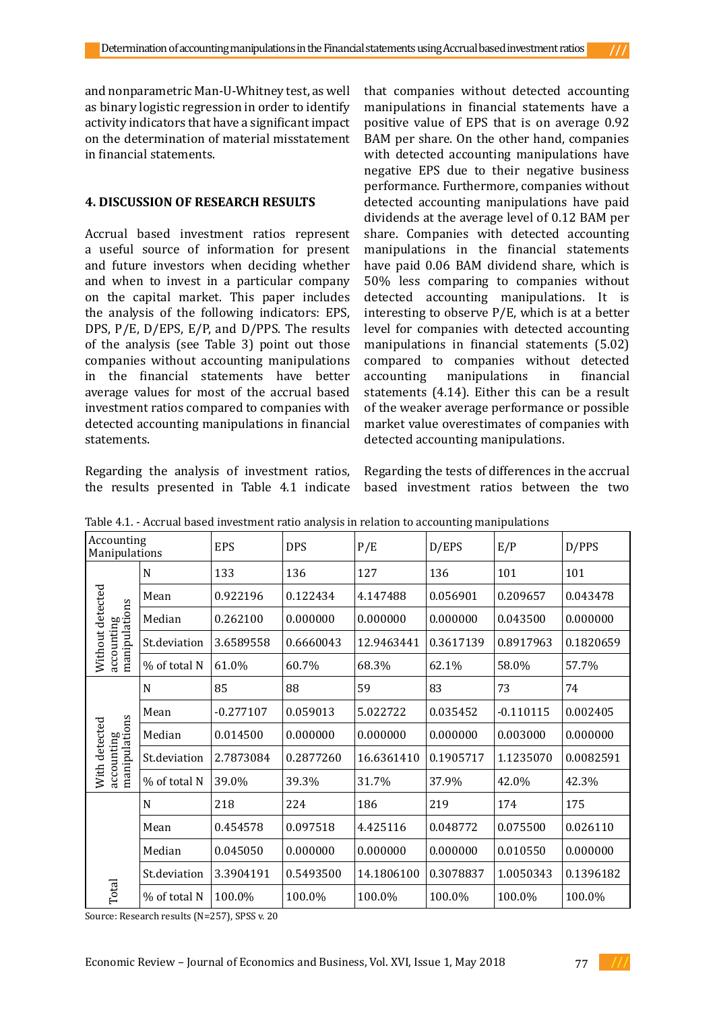and nonparametric Man-U-Whitney test, as well as binary logistic regression in order to identify activity indicators that have a significant impact on the determination of material misstatement in financial statements.

## **4. DISCUSSION OF RESEARCH RESULTS**

Accrual based investment ratios represent a useful source of information for present and future investors when deciding whether and when to invest in a particular company on the capital market. This paper includes the analysis of the following indicators: EPS, DPS, P/E, D/EPS, E/P, and D/PPS. The results of the analysis (see Table 3) point out those companies without accounting manipulations in the financial statements have better average values for most of the accrual based investment ratios compared to companies with detected accounting manipulations in financial statements.

Regarding the analysis of investment ratios, the results presented in Table 4.1 indicate that companies without detected accounting manipulations in financial statements have a positive value of EPS that is on average 0.92 BAM per share. On the other hand, companies with detected accounting manipulations have negative EPS due to their negative business performance. Furthermore, companies without detected accounting manipulations have paid dividends at the average level of 0.12 BAM per share. Companies with detected accounting manipulations in the financial statements have paid 0.06 BAM dividend share, which is 50% less comparing to companies without detected accounting manipulations. It is interesting to observe P/E, which is at a better level for companies with detected accounting manipulations in financial statements (5.02) compared to companies without detected<br>accounting manipulations in financial manipulations statements (4.14). Either this can be a result of the weaker average performance or possible market value overestimates of companies with detected accounting manipulations.

Regarding the tests of differences in the accrual based investment ratios between the two

| Accounting<br>Manipulations                     |              | <b>EPS</b>  | <b>DPS</b> | P/E        | D/EPS     | E/P         | D/PPS     |
|-------------------------------------------------|--------------|-------------|------------|------------|-----------|-------------|-----------|
|                                                 | N            | 133         | 136        | 127        | 136       | 101         | 101       |
|                                                 | Mean         | 0.922196    | 0.122434   | 4.147488   | 0.056901  | 0.209657    | 0.043478  |
|                                                 | Median       | 0.262100    | 0.000000   | 0.000000   | 0.000000  | 0.043500    | 0.000000  |
| Without detected<br>manipulations<br>accounting | St.deviation | 3.6589558   | 0.6660043  | 12.9463441 | 0.3617139 | 0.8917963   | 0.1820659 |
|                                                 | % of total N | 61.0%       | 60.7%      | 68.3%      | 62.1%     | 58.0%       | 57.7%     |
| accounting<br>manipulations<br>With detected    | N            | 85          | 88         | 59         | 83        | 73          | 74        |
|                                                 | Mean         | $-0.277107$ | 0.059013   | 5.022722   | 0.035452  | $-0.110115$ | 0.002405  |
|                                                 | Median       | 0.014500    | 0.000000   | 0.000000   | 0.000000  | 0.003000    | 0.000000  |
|                                                 | St.deviation | 2.7873084   | 0.2877260  | 16.6361410 | 0.1905717 | 1.1235070   | 0.0082591 |
|                                                 | % of total N | 39.0%       | 39.3%      | 31.7%      | 37.9%     | 42.0%       | 42.3%     |
|                                                 | N            | 218         | 224        | 186        | 219       | 174         | 175       |
|                                                 | Mean         | 0.454578    | 0.097518   | 4.425116   | 0.048772  | 0.075500    | 0.026110  |
|                                                 | Median       | 0.045050    | 0.000000   | 0.000000   | 0.000000  | 0.010550    | 0.000000  |
|                                                 | St.deviation | 3.3904191   | 0.5493500  | 14.1806100 | 0.3078837 | 1.0050343   | 0.1396182 |
| Total                                           | % of total N | 100.0%      | 100.0%     | 100.0%     | 100.0%    | 100.0%      | 100.0%    |

Table 4.1. - Accrual based investment ratio analysis in relation to accounting manipulations

Source: Research results (N=257), SPSS v. 20

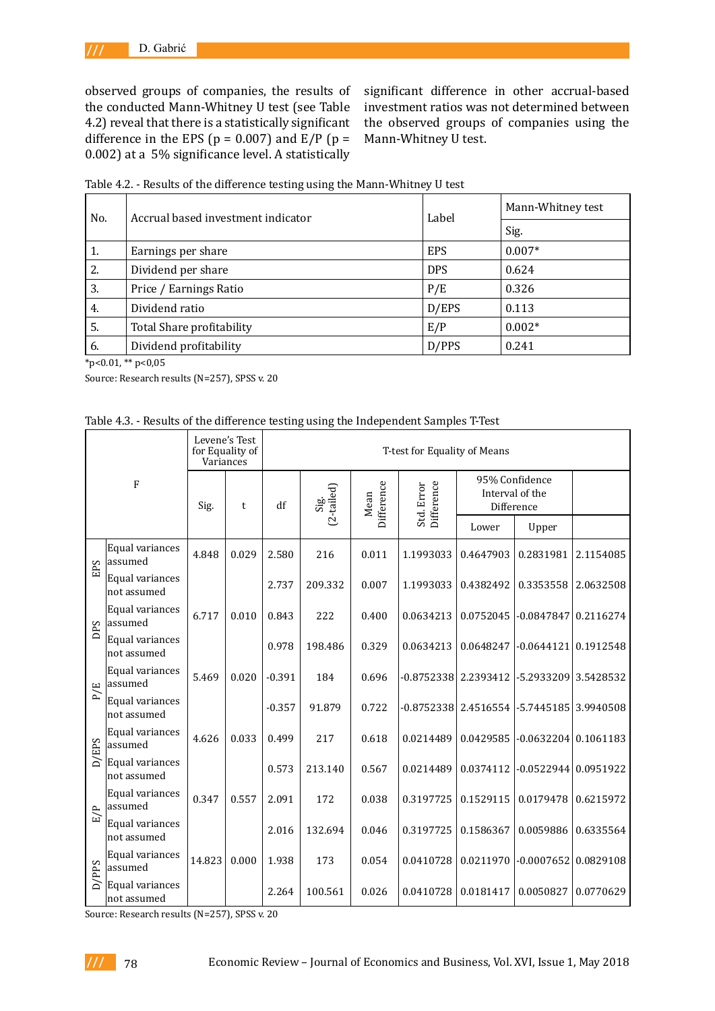observed groups of companies, the results of the conducted Mann-Whitney U test (see Table 4.2) reveal that there is a statistically significant difference in the EPS ( $p = 0.007$ ) and E/P ( $p =$ 0.002) at a 5% significance level. A statistically

significant difference in other accrual-based investment ratios was not determined between the observed groups of companies using the Mann-Whitney U test.

| No. | Accrual based investment indicator | Label      | Mann-Whitney test |  |
|-----|------------------------------------|------------|-------------------|--|
|     |                                    |            | Sig.              |  |
| 1.  | Earnings per share                 | <b>EPS</b> | $0.007*$          |  |
| 2.  | Dividend per share                 | <b>DPS</b> | 0.624             |  |
| 3.  | Price / Earnings Ratio             | P/E        | 0.326             |  |
| 4.  | Dividend ratio                     | D/EPS      | 0.113             |  |
| 5.  | Total Share profitability          | E/P        | $0.002*$          |  |
| 6.  | Dividend profitability             | D/PPS      | 0.241             |  |

Table 4.2. - Results of the difference testing using the Mann-Whitney U test

 $*p<0.01$ ,  $*p<0.05$ 

Source: Research results (N=257), SPSS v. 20

| Levene's Test<br>for Equality of<br>Variances |                                |        |       | T-test for Equality of Means |                    |                    |                          |                                                 |                                    |           |  |
|-----------------------------------------------|--------------------------------|--------|-------|------------------------------|--------------------|--------------------|--------------------------|-------------------------------------------------|------------------------------------|-----------|--|
| F                                             |                                | Sig.   | t     | df                           | Sig.<br>(2-tailed) | Difference<br>Mean | Std. Error<br>Difference | 95% Confidence<br>Interval of the<br>Difference |                                    |           |  |
|                                               |                                |        |       |                              |                    |                    |                          | Lower                                           | Upper                              |           |  |
| EPS                                           | Equal variances<br>assumed     | 4.848  | 0.029 | 2.580                        | 216                | 0.011              | 1.1993033                | 0.4647903                                       | 0.2831981                          | 2.1154085 |  |
|                                               | Equal variances<br>not assumed |        |       | 2.737                        | 209.332            | 0.007              | 1.1993033                | 0.4382492                                       | 0.3353558                          | 2.0632508 |  |
| <b>SdG</b>                                    | Equal variances<br>assumed     | 6.717  | 0.010 | 0.843                        | 222                | 0.400              | 0.0634213                |                                                 | $0.0752045$ -0.0847847             | 0.2116274 |  |
|                                               | Equal variances<br>not assumed |        |       | 0.978                        | 198.486            | 0.329              | 0.0634213                | 0.0648247                                       | $-0.0644121$                       | 0.1912548 |  |
| P/E                                           | Equal variances<br>assumed     | 5.469  | 0.020 | $-0.391$                     | 184                | 0.696              |                          | -0.8752338 2.2393412                            | $-5.2933209$                       | 3.5428532 |  |
|                                               | Equal variances<br>not assumed |        |       | $-0.357$                     | 91.879             | 0.722              |                          |                                                 | $-0.8752338$ 2.4516554 - 5.7445185 | 3.9940508 |  |
| D/EPS                                         | Equal variances<br>assumed     | 4.626  | 0.033 | 0.499                        | 217                | 0.618              | 0.0214489                | 0.0429585                                       | $-0.0632204$                       | 0.1061183 |  |
|                                               | Equal variances<br>not assumed |        |       | 0.573                        | 213.140            | 0.567              | 0.0214489                | 0.0374112                                       | $\left  -0.0522944 \right $        | 0.0951922 |  |
| E/P                                           | Equal variances<br>assumed     | 0.347  | 0.557 | 2.091                        | 172                | 0.038              | 0.3197725                | 0.1529115                                       | 0.0179478                          | 0.6215972 |  |
|                                               | Equal variances<br>not assumed |        |       | 2.016                        | 132.694            | 0.046              | 0.3197725                | 0.1586367                                       | 0.0059886                          | 0.6335564 |  |
| D/PPS                                         | Equal variances<br>assumed     | 14.823 | 0.000 | 1.938                        | 173                | 0.054              | 0.0410728                | 0.0211970                                       | $-0.0007652$                       | 0.0829108 |  |
|                                               | Equal variances<br>not assumed |        |       | 2.264                        | 100.561            | 0.026              | 0.0410728                | 0.0181417                                       | 0.0050827                          | 0.0770629 |  |

Table 4.3. - Results of the difference testing using the Independent Samples T-Test

Source: Research results (N=257), SPSS v. 20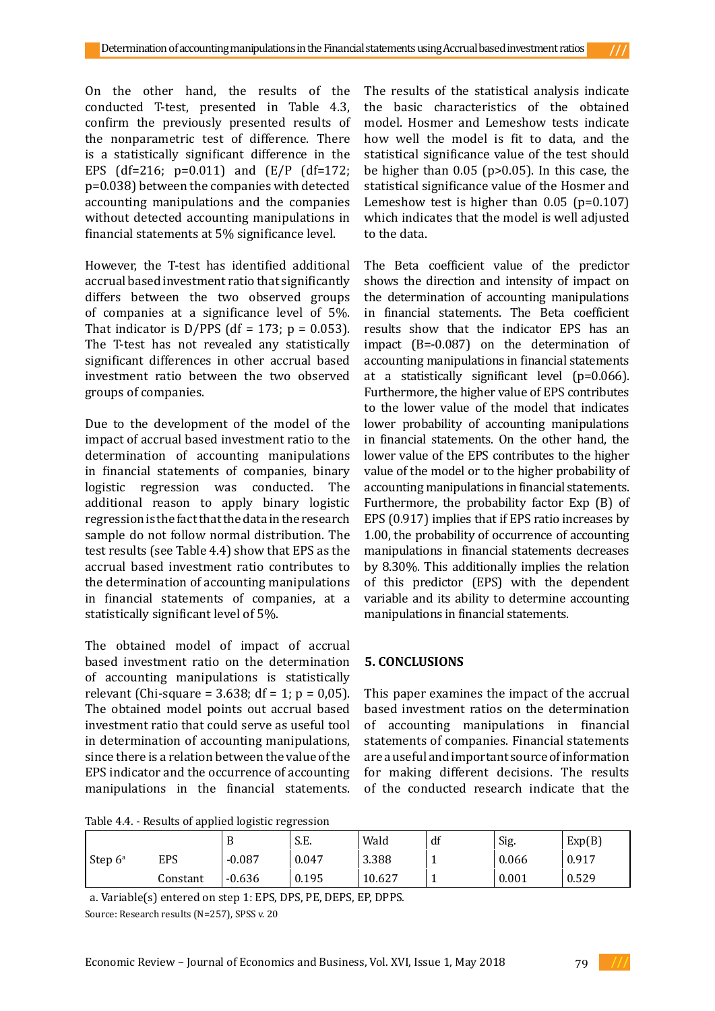Determination of accounting manipulations in the Financial statements using Accrual based investment ratios **///**<br>On the other hand, the results of the The results of the statistical analysis indicate conducted T-test, presented in Table 4.3, confirm the previously presented results of the nonparametric test of difference. There is a statistically significant difference in the EPS (df=216; p=0.011) and (E/P (df=172; p=0.038) between the companies with detected accounting manipulations and the companies without detected accounting manipulations in financial statements at 5% significance level.

However, the T-test has identified additional accrual based investment ratio that significantly differs between the two observed groups of companies at a significance level of 5%. That indicator is D/PPS (df = 173;  $p = 0.053$ ). The T-test has not revealed any statistically significant differences in other accrual based investment ratio between the two observed groups of companies.

Due to the development of the model of the impact of accrual based investment ratio to the determination of accounting manipulations in financial statements of companies, binary logistic regression was conducted. The additional reason to apply binary logistic regression is the fact that the data in the research sample do not follow normal distribution. The test results (see Table 4.4) show that EPS as the accrual based investment ratio contributes to the determination of accounting manipulations in financial statements of companies, at a statistically significant level of 5%.

The obtained model of impact of accrual based investment ratio on the determination of accounting manipulations is statistically relevant (Chi-square =  $3.638$ ; df =  $1$ ; p =  $0.05$ ). The obtained model points out accrual based investment ratio that could serve as useful tool in determination of accounting manipulations, since there is a relation between the value of the EPS indicator and the occurrence of accounting manipulations in the financial statements. The results of the statistical analysis indicate the basic characteristics of the obtained model. Hosmer and Lemeshow tests indicate how well the model is fit to data, and the statistical significance value of the test should be higher than 0.05 (p>0.05). In this case, the statistical significance value of the Hosmer and Lemeshow test is higher than 0.05 (p=0.107) which indicates that the model is well adjusted to the data.

The Beta coefficient value of the predictor shows the direction and intensity of impact on the determination of accounting manipulations in financial statements. The Beta coefficient results show that the indicator EPS has an impact (B=-0.087) on the determination of accounting manipulations in financial statements at a statistically significant level (p=0.066). Furthermore, the higher value of EPS contributes to the lower value of the model that indicates lower probability of accounting manipulations in financial statements. On the other hand, the lower value of the EPS contributes to the higher value of the model or to the higher probability of accounting manipulations in financial statements. Furthermore, the probability factor Exp (B) of EPS (0.917) implies that if EPS ratio increases by 1.00, the probability of occurrence of accounting manipulations in financial statements decreases by 8.30%. This additionally implies the relation of this predictor (EPS) with the dependent variable and its ability to determine accounting manipulations in financial statements.

## **5. CONCLUSIONS**

This paper examines the impact of the accrual based investment ratios on the determination of accounting manipulations in financial statements of companies. Financial statements are a useful and important source of information for making different decisions. The results of the conducted research indicate that the

Table 4.4. - Results of applied logistic regression

|                  |            | B        | S.E.  | Wald   | df | Sig.  | Exp(B) |
|------------------|------------|----------|-------|--------|----|-------|--------|
| Step $6^{\circ}$ | <b>EPS</b> | $-0.087$ | 0.047 | 3.388  |    | 0.066 | 0.917  |
|                  | Constant   | $-0.636$ | 0.195 | 10.627 |    | 0.001 | 0.529  |

a. Variable(s) entered on step 1: EPS, DPS, PE, DEPS, EP, DPPS. Source: Research results (N=257), SPSS v. 20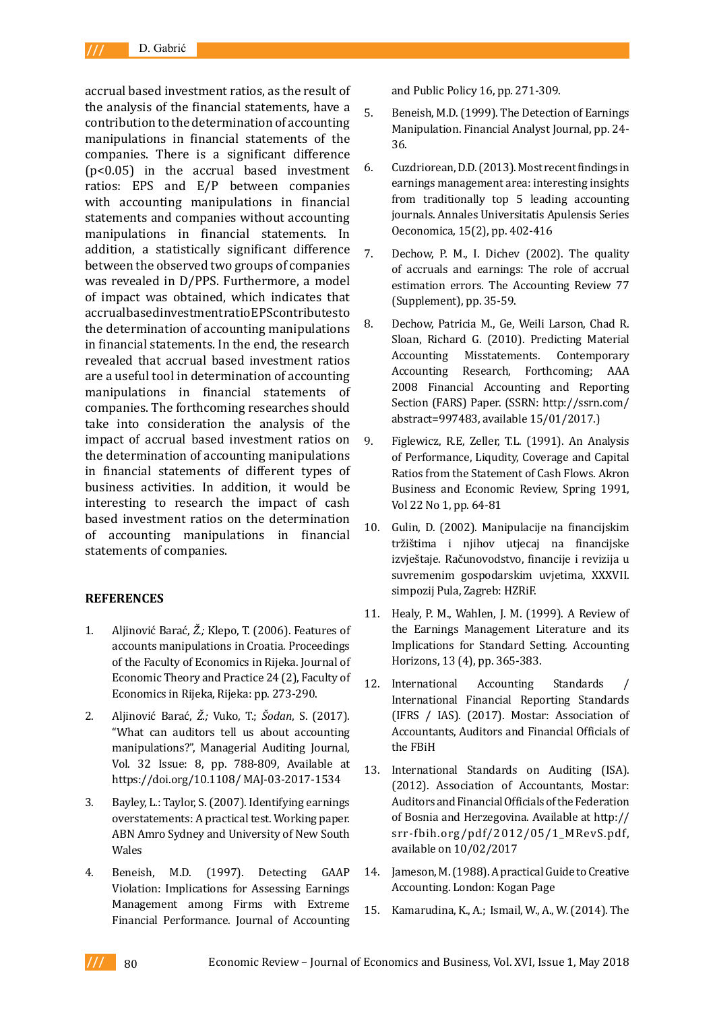accrual based investment ratios, as the result of the analysis of the financial statements, have a contribution to the determination of accounting manipulations in financial statements of the companies. There is a significant difference (p<0.05) in the accrual based investment ratios: EPS and E/P between companies with accounting manipulations in financial statements and companies without accounting manipulations in financial statements. In addition, a statistically significant difference between the observed two groups of companies was revealed in D/PPS. Furthermore, a model of impact was obtained, which indicates that accrual based investment ratio EPS contributes to the determination of accounting manipulations in financial statements. In the end, the research revealed that accrual based investment ratios are a useful tool in determination of accounting manipulations in financial statements of companies. The forthcoming researches should take into consideration the analysis of the impact of accrual based investment ratios on the determination of accounting manipulations in financial statements of different types of business activities. In addition, it would be interesting to research the impact of cash based investment ratios on the determination of accounting manipulations in financial statements of companies.

## **REFERENCES**

- 1. Aljinović Barać, *Ž.;* Klepo, T. (2006). Features of accounts manipulations in Croatia. Proceedings of the Faculty of Economics in Rijeka. Journal of Economic Theory and Practice 24 (2), Faculty of Economics in Rijeka, Rijeka: pp. 273‐290.
- 2. Aljinović Barać, *Ž.;* Vuko, T.; *Šodan*, S. (2017). "What can auditors tell us about accounting manipulations?", Managerial Auditing Journal, Vol. 32 Issue: 8, pp. 788-809, Available at https://doi.org/10.1108/ MAJ-03-2017-1534
- 3. Bayley, L.: Taylor, S. (2007). Identifying earnings overstatements: A practical test. Working paper. ABN Amro Sydney and University of New South Wales
- 4. Beneish, M.D. (1997). Detecting GAAP Violation: Implications for Assessing Earnings Management among Firms with Extreme Financial Performance. Journal of Accounting

and Public Policy 16, pp. 271-309.

- 5. Beneish, M.D. (1999). The Detection of Earnings Manipulation. Financial Analyst Journal, pp. 24- 36.
- 6. Cuzdriorean, D.D. (2013). Most recent findings in earnings management area: interesting insights from traditionally top 5 leading accounting journals. Annales Universitatis Apulensis Series Oeconomica, 15(2), pp. 402-416
- 7. Dechow, P. M., I. Dichev (2002). The quality of accruals and earnings: The role of accrual estimation errors. The Accounting Review 77 (Supplement), pp. 35-59.
- 8. Dechow, Patricia M., Ge, Weili Larson, Chad R. Sloan, Richard G. (2010). Predicting Material Accounting Misstatements. Contemporary Accounting Research, Forthcoming; AAA 2008 Financial Accounting and Reporting Section (FARS) Paper. (SSRN: http://ssrn.com/ abstract=997483, available 15/01/2017.)
- 9. Figlewicz, R.E, Zeller, T.L. (1991). An Analysis of Performance, Liqudity, Coverage and Capital Ratios from the Statement of Cash Flows. Akron Business and Economic Review, Spring 1991, Vol 22 No 1, pp. 64-81
- 10. Gulin, D. (2002). Manipulacije na financijskim tržištima i njihov utjecaj na financijske izvještaje. Računovodstvo, financije i revizija u suvremenim gospodarskim uvjetima, XXXVII. simpozij Pula, Zagreb: HZRiF.
- 11. Healy, P. M., Wahlen, J. M. (1999). A Review of the Earnings Management Literature and its Implications for Standard Setting. Accounting Horizons, 13 (4), pp. 365-383.
- 12. International Accounting Standards / International Financial Reporting Standards (IFRS / IAS). (2017). Mostar: Association of Accountants, Auditors and Financial Officials of the FBiH
- 13. International Standards on Auditing (ISA). (2012). Association of Accountants, Mostar: Auditors and Financial Officials of the Federation of Bosnia and Herzegovina. Available at http:// srr-fbih.org/pdf/2012/05/1\_MRevS.pdf, available on 10/02/2017
- 14. Jameson, M. (1988). A practical Guide to Creative Accounting. London: Kogan Page
- 15. Kamarudina, K., A.; Ismail, W., A., W. (2014). The